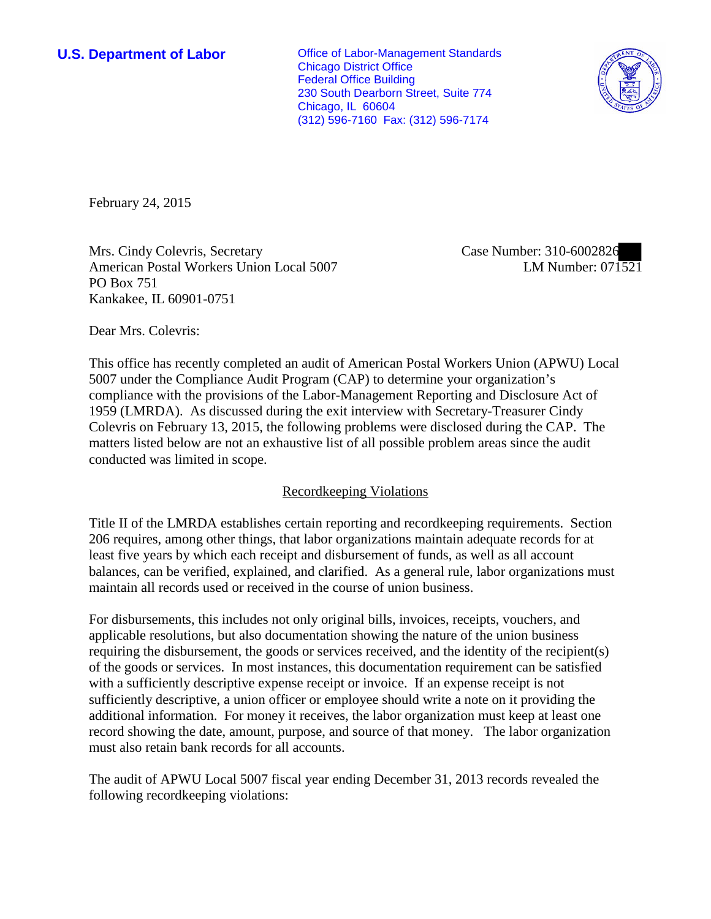**U.S. Department of Labor** Office of Labor-Management Standards Chicago District Office Federal Office Building 230 South Dearborn Street, Suite 774 Chicago, IL 60604 (312) 596-7160 Fax: (312) 596-7174



February 24, 2015

February 24, 2015<br>Mrs. Cindy Colevris, Secretary Case Number: 310-6002826 American Postal Workers Union Local 5007 LM Number: 071521 PO Box 751 Kankakee, IL 60901-0751

Dear Mrs. Colevris:

 This office has recently completed an audit of American Postal Workers Union (APWU) Local 5007 under the Compliance Audit Program (CAP) to determine your organization's compliance with the provisions of the Labor-Management Reporting and Disclosure Act of 1959 (LMRDA). As discussed during the exit interview with Secretary-Treasurer Cindy Colevris on February 13, 2015, the following problems were disclosed during the CAP. The matters listed below are not an exhaustive list of all possible problem areas since the audit conducted was limited in scope.

## Recordkeeping Violations

 Title II of the LMRDA establishes certain reporting and recordkeeping requirements. Section 206 requires, among other things, that labor organizations maintain adequate records for at least five years by which each receipt and disbursement of funds, as well as all account balances, can be verified, explained, and clarified. As a general rule, labor organizations must maintain all records used or received in the course of union business.

For disbursements, this includes not only original bills, invoices, receipts, vouchers, and applicable resolutions, but also documentation showing the nature of the union business requiring the disbursement, the goods or services received, and the identity of the recipient(s) of the goods or services. In most instances, this documentation requirement can be satisfied with a sufficiently descriptive expense receipt or invoice. If an expense receipt is not sufficiently descriptive, a union officer or employee should write a note on it providing the additional information. For money it receives, the labor organization must keep at least one record showing the date, amount, purpose, and source of that money. The labor organization must also retain bank records for all accounts.

 following recordkeeping violations: The audit of APWU Local 5007 fiscal year ending December 31, 2013 records revealed the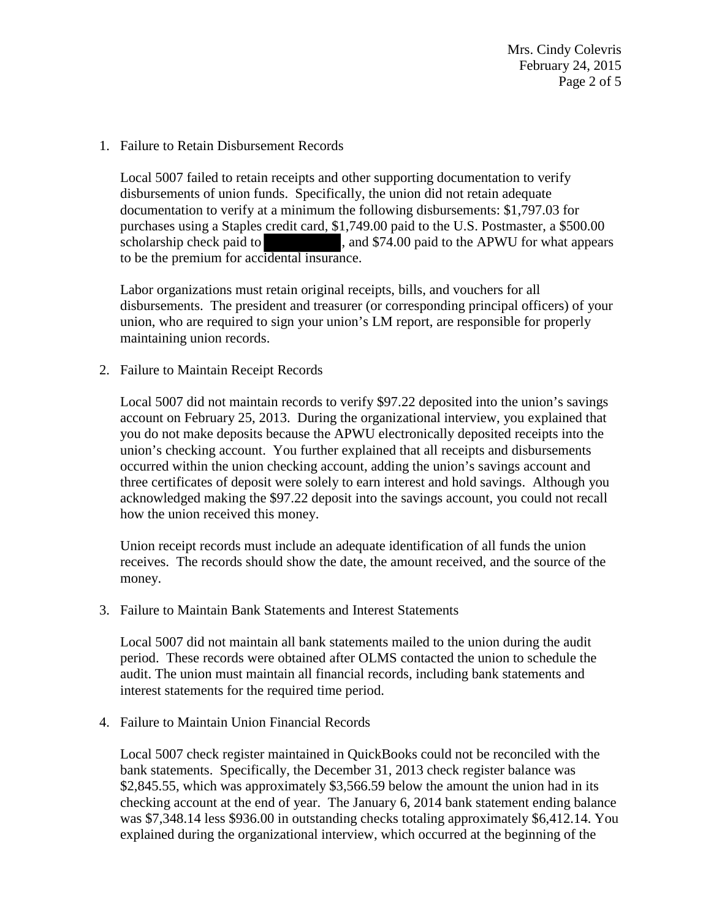Mrs. Cindy Colevris February 24, 2015 Page 2 of 5

1. Failure to Retain Disbursement Records

to be the premium for accidental insurance. Local 5007 failed to retain receipts and other supporting documentation to verify disbursements of union funds. Specifically, the union did not retain adequate documentation to verify at a minimum the following disbursements: \$1,797.03 for purchases using a Staples credit card, \$1,749.00 paid to the U.S. Postmaster, a \$500.00 scholarship check paid to scholarship check paid to the SPWU for what appears

 Labor organizations must retain original receipts, bills, and vouchers for all disbursements. The president and treasurer (or corresponding principal officers) of your union, who are required to sign your union's LM report, are responsible for properly maintaining union records.

2. Failure to Maintain Receipt Records

 Local 5007 did not maintain records to verify \$97.22 deposited into the union's savings three certificates of deposit were solely to earn interest and hold savings. Although you account on February 25, 2013. During the organizational interview, you explained that you do not make deposits because the APWU electronically deposited receipts into the union's checking account. You further explained that all receipts and disbursements occurred within the union checking account, adding the union's savings account and acknowledged making the \$97.22 deposit into the savings account, you could not recall how the union received this money.

Union receipt records must include an adequate identification of all funds the union receives. The records should show the date, the amount received, and the source of the money.

3. Failure to Maintain Bank Statements and Interest Statements

Local 5007 did not maintain all bank statements mailed to the union during the audit period. These records were obtained after OLMS contacted the union to schedule the audit. The union must maintain all financial records, including bank statements and interest statements for the required time period.

4. Failure to Maintain Union Financial Records

 checking account at the end of year. The January 6, 2014 bank statement ending balance was \$7,348.14 less \$936.00 in outstanding checks totaling approximately \$6,412.14. You Local 5007 check register maintained in QuickBooks could not be reconciled with the bank statements. Specifically, the December 31, 2013 check register balance was \$2,845.55, which was approximately \$3,566.59 below the amount the union had in its explained during the organizational interview, which occurred at the beginning of the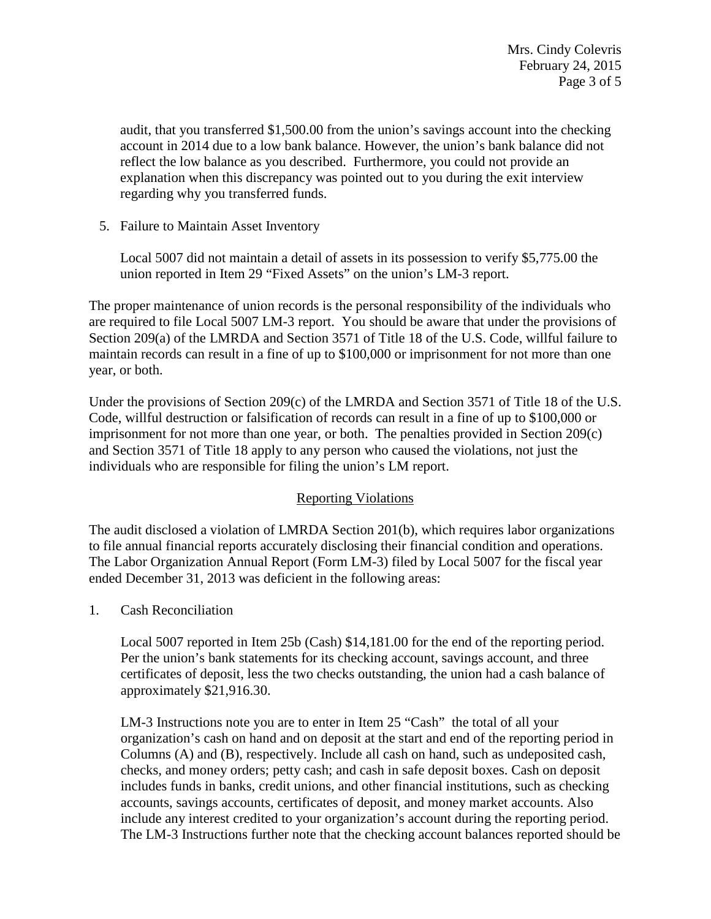audit, that you transferred \$1,500.00 from the union's savings account into the checking account in 2014 due to a low bank balance. However, the union's bank balance did not reflect the low balance as you described. Furthermore, you could not provide an explanation when this discrepancy was pointed out to you during the exit interview regarding why you transferred funds.

5. Failure to Maintain Asset Inventory

Local 5007 did not maintain a detail of assets in its possession to verify \$5,775.00 the union reported in Item 29 "Fixed Assets" on the union's LM-3 report.

The proper maintenance of union records is the personal responsibility of the individuals who are required to file Local 5007 LM-3 report. You should be aware that under the provisions of Section 209(a) of the LMRDA and Section 3571 of Title 18 of the U.S. Code, willful failure to maintain records can result in a fine of up to \$100,000 or imprisonment for not more than one year, or both.

 individuals who are responsible for filing the union's LM report. Under the provisions of Section 209(c) of the LMRDA and Section 3571 of Title 18 of the U.S. Code, willful destruction or falsification of records can result in a fine of up to \$100,000 or imprisonment for not more than one year, or both. The penalties provided in Section 209(c) and Section 3571 of Title 18 apply to any person who caused the violations, not just the

## Reporting Violations

The audit disclosed a violation of LMRDA Section 201(b), which requires labor organizations to file annual financial reports accurately disclosing their financial condition and operations. The Labor Organization Annual Report (Form LM-3) filed by Local 5007 for the fiscal year ended December 31, 2013 was deficient in the following areas:

## 1. Cash Reconciliation

Local 5007 reported in Item 25b (Cash) \$14,181.00 for the end of the reporting period. Per the union's bank statements for its checking account, savings account, and three certificates of deposit, less the two checks outstanding, the union had a cash balance of approximately \$21,916.30.

LM-3 Instructions note you are to enter in Item 25 "Cash" the total of all your organization's cash on hand and on deposit at the start and end of the reporting period in Columns (A) and (B), respectively. Include all cash on hand, such as undeposited cash, checks, and money orders; petty cash; and cash in safe deposit boxes. Cash on deposit includes funds in banks, credit unions, and other financial institutions, such as checking accounts, savings accounts, certificates of deposit, and money market accounts. Also include any interest credited to your organization's account during the reporting period. The LM-3 Instructions further note that the checking account balances reported should be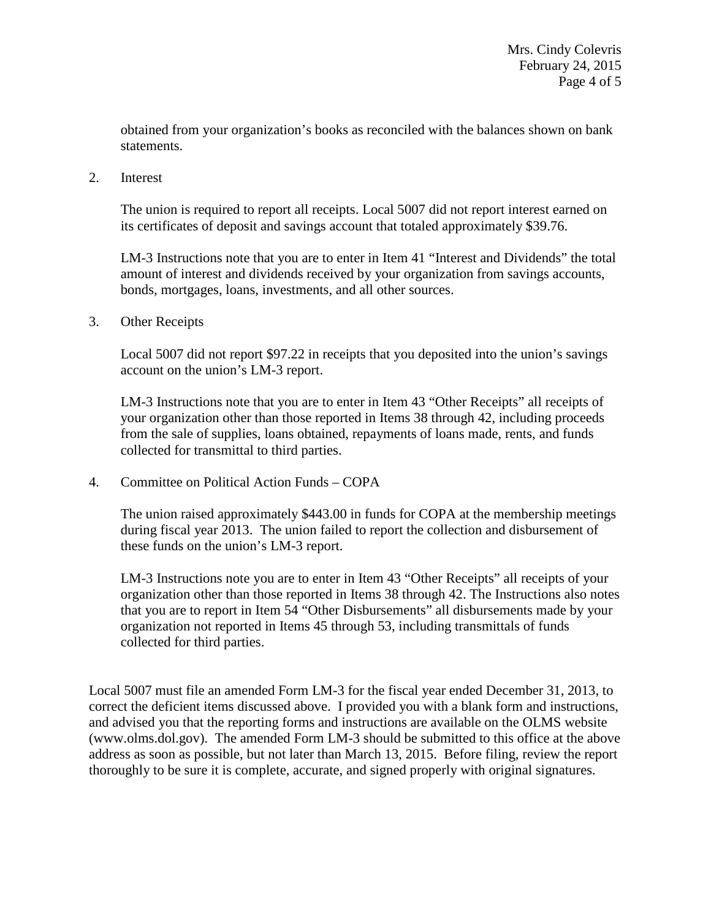obtained from your organization's books as reconciled with the balances shown on bank statements.

2. Interest

The union is required to report all receipts. Local 5007 did not report interest earned on its certificates of deposit and savings account that totaled approximately \$39.76.

LM-3 Instructions note that you are to enter in Item 41 "Interest and Dividends" the total amount of interest and dividends received by your organization from savings accounts, bonds, mortgages, loans, investments, and all other sources.

3. Other Receipts

Local 5007 did not report \$97.22 in receipts that you deposited into the union's savings account on the union's LM-3 report.

LM-3 Instructions note that you are to enter in Item 43 "Other Receipts" all receipts of your organization other than those reported in Items 38 through 42, including proceeds from the sale of supplies, loans obtained, repayments of loans made, rents, and funds collected for transmittal to third parties.

4. Committee on Political Action Funds – COPA

 The union raised approximately \$443.00 in funds for COPA at the membership meetings during fiscal year 2013. The union failed to report the collection and disbursement of these funds on the union's LM-3 report.

 that you are to report in Item 54 "Other Disbursements" all disbursements made by your LM-3 Instructions note you are to enter in Item 43 "Other Receipts" all receipts of your organization other than those reported in Items 38 through 42. The Instructions also notes organization not reported in Items 45 through 53, including transmittals of funds collected for third parties.

 (www.olms.dol.gov). The amended Form LM-3 should be submitted to this office at the above address as soon as possible, but not later than March 13, 2015. Before filing, review the report Local 5007 must file an amended Form LM-3 for the fiscal year ended December 31, 2013, to correct the deficient items discussed above. I provided you with a blank form and instructions, and advised you that the reporting forms and instructions are available on the OLMS website thoroughly to be sure it is complete, accurate, and signed properly with original signatures.